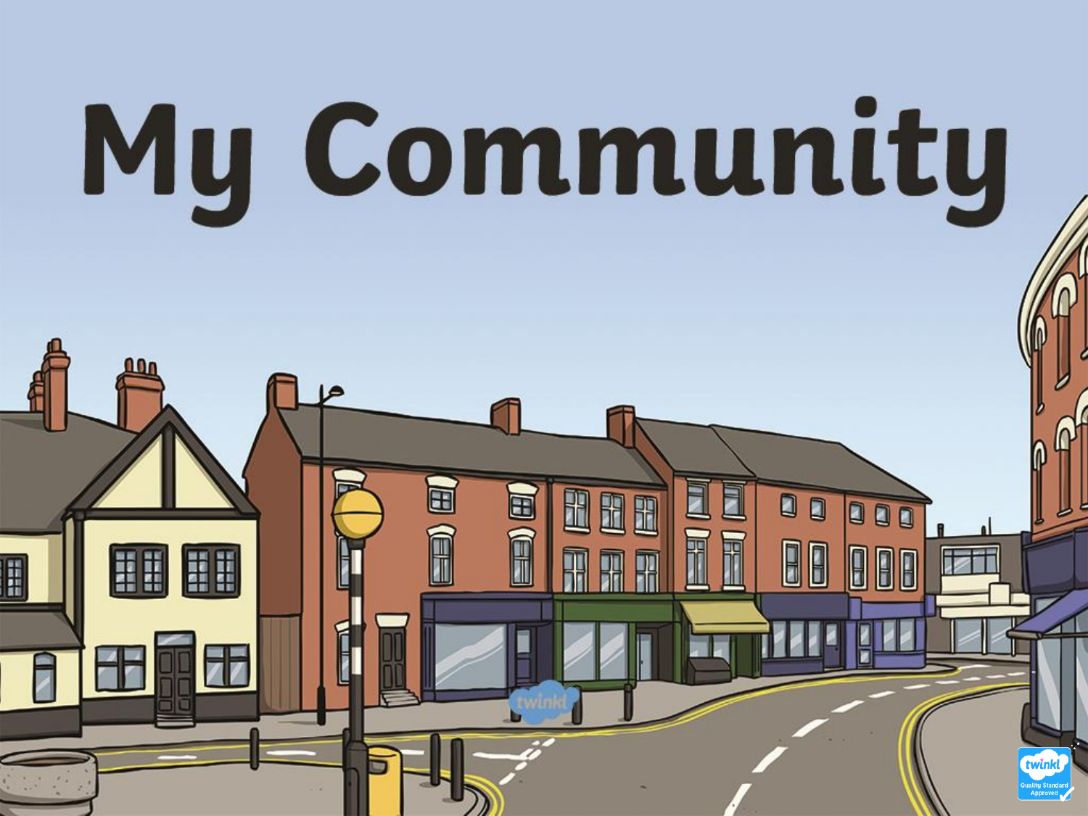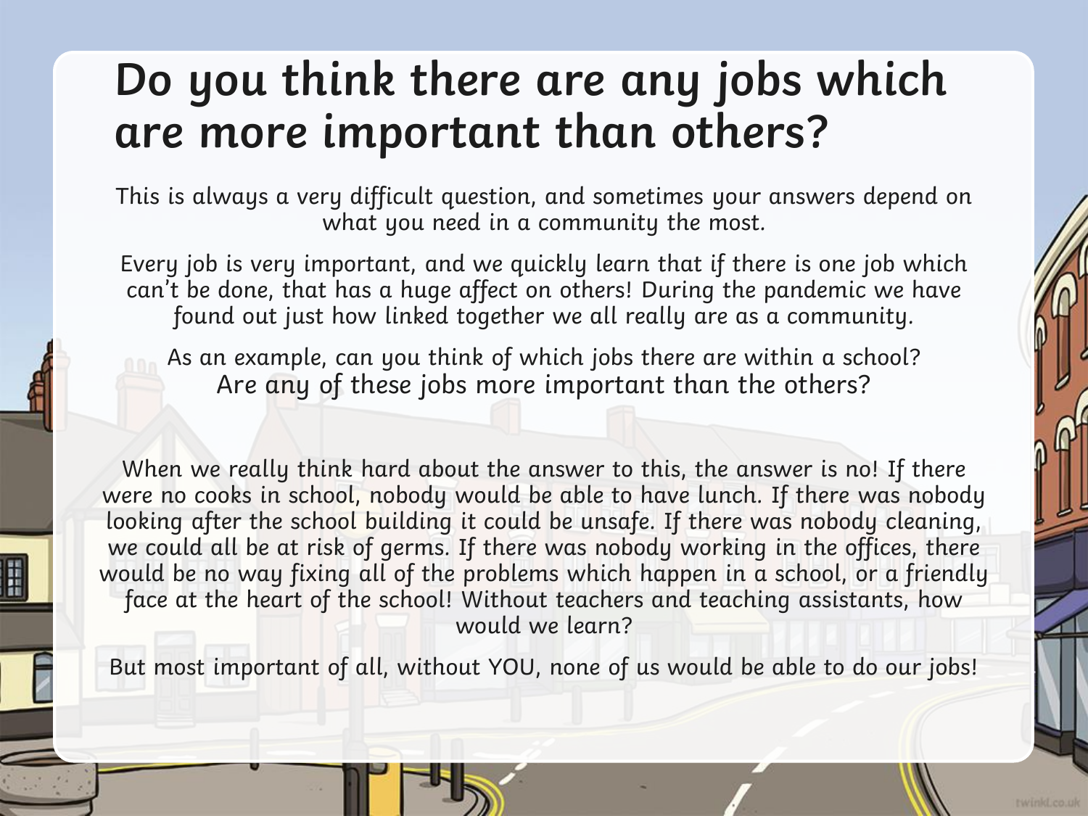#### **Do you think there are any jobs which are more important than others?**

This is always a very difficult question, and sometimes your answers depend on what you need in a community the most.

Every job is very important, and we quickly learn that if there is one job which can't be done, that has a huge affect on others! During the pandemic we have found out just how linked together we all really are as a community.

As an example, can you think of which jobs there are within a school? Are any of these jobs more important than the others?

When we really think hard about the answer to this, the answer is no! If there were no cooks in school, nobody would be able to have lunch. If there was nobody looking after the school building it could be unsafe. If there was nobody cleaning, we could all be at risk of germs. If there was nobody working in the offices, there would be no way fixing all of the problems which happen in a school, or a friendly face at the heart of the school! Without teachers and teaching assistants, how would we learn?

But most important of all, without YOU, none of us would be able to do our jobs!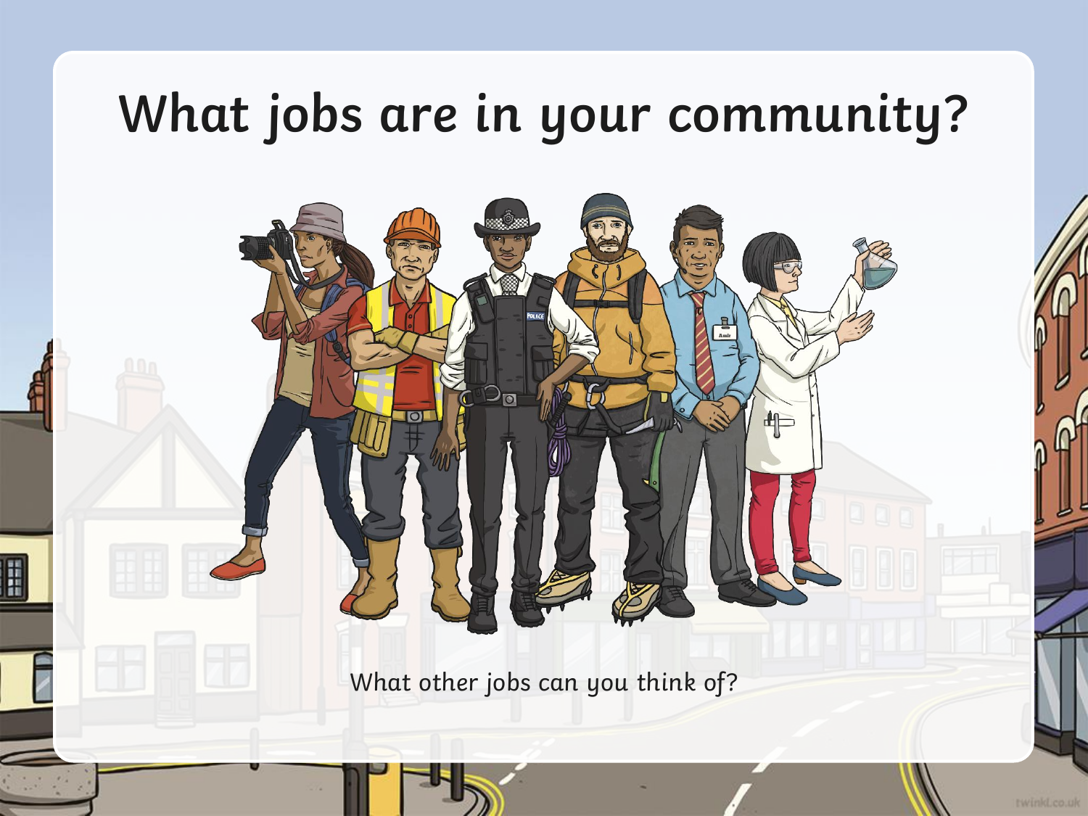# **What jobs are in your community?**

What other jobs can you think of?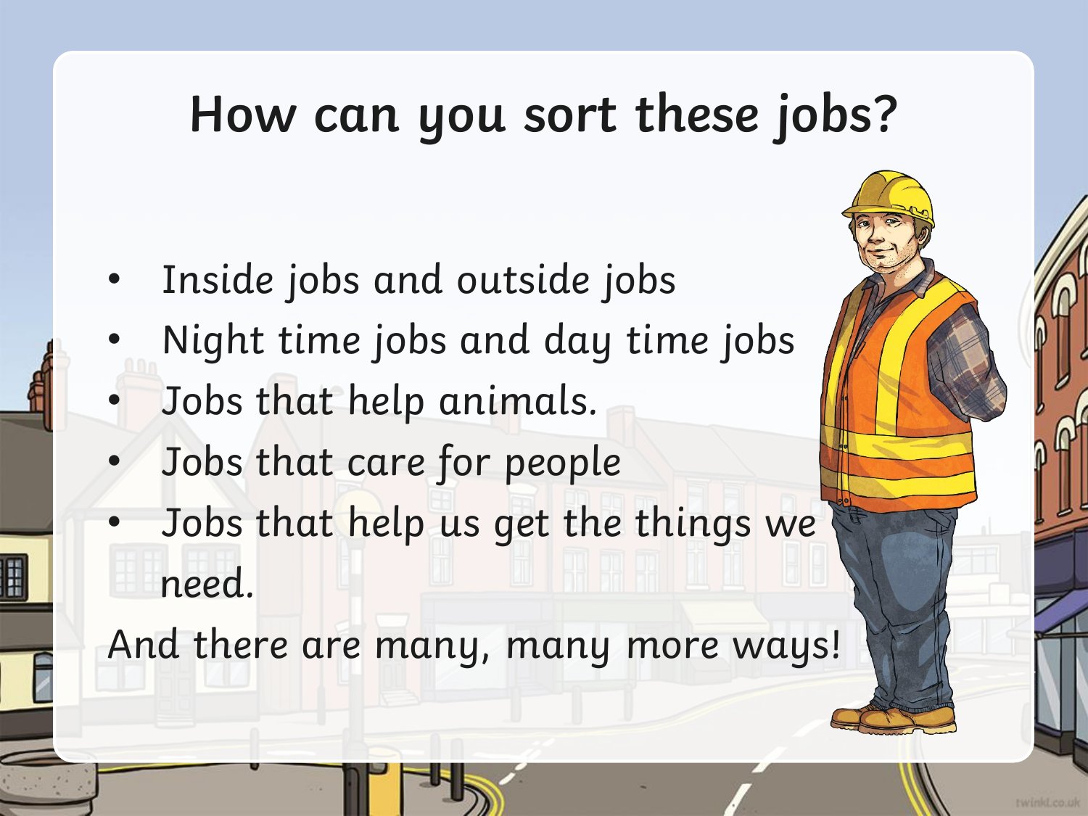## **How can you sort these jobs?**

- Inside jobs and outside jobs
- Night time jobs and day time jobs
- Jobs that help animals.
- Jobs that care for people
- Jobs that help us get the things we need.

And there are many, many more ways!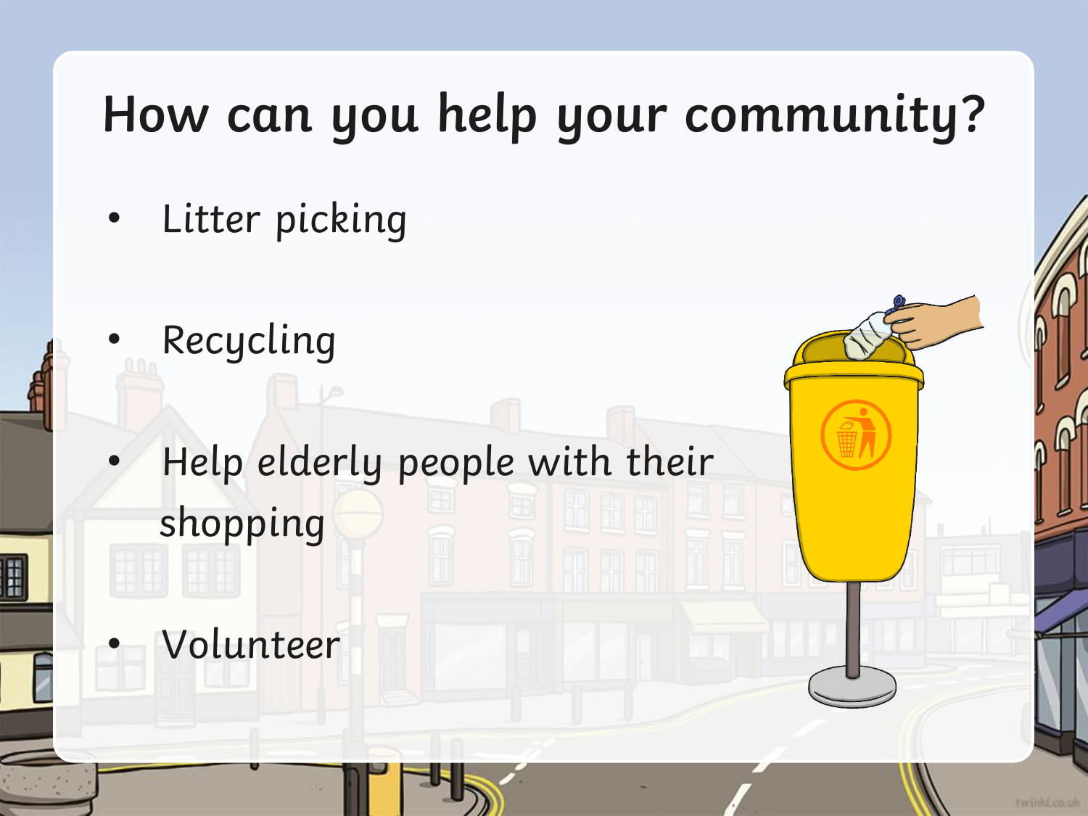# **How can you help your community?**

- Litter picking
- **Recycling**
- Help elderly people with their shopping
- Volunteer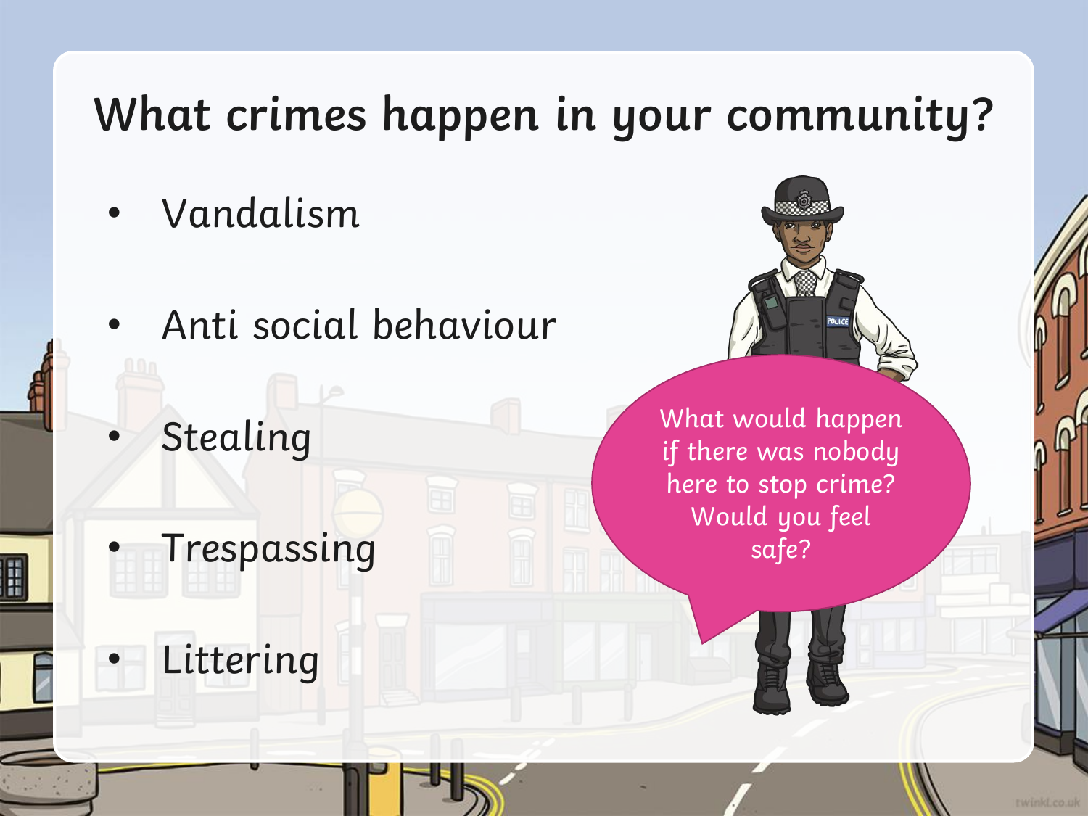### **What crimes happen in your community?**

- Vandalism
- Anti social behaviour
- **Stealing**

**Trespassing** 

**Littering** 

What would happen if there was nobody here to stop crime? Would you feel safe?